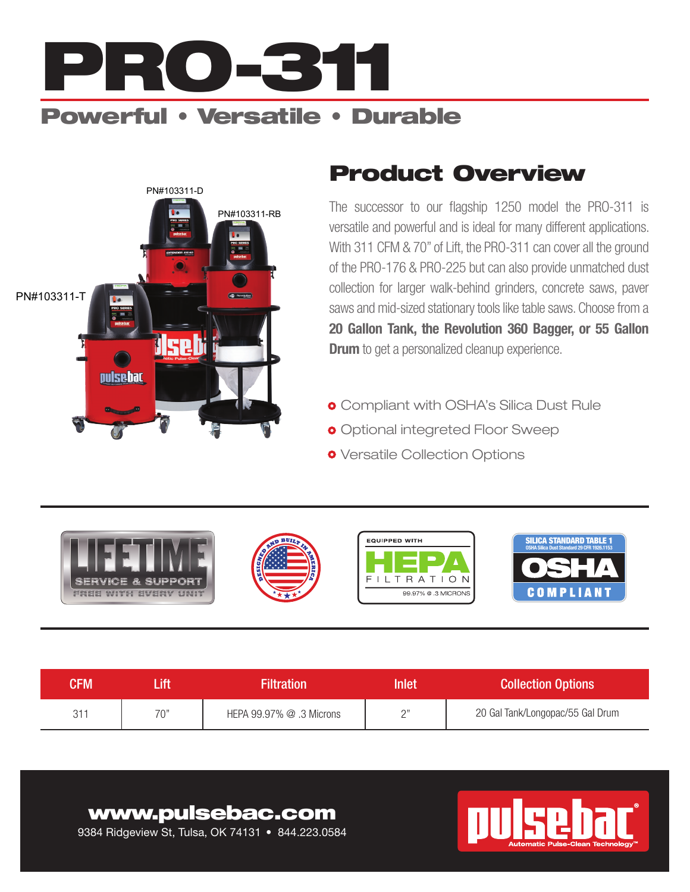

PN#103311-RB

**Revolution** 

# Product Overview PN#103311-D

PN#103311-T

pulsebac



- **o** Compliant with OSHA's Silica Dust Rule
- **o** Optional integreted Floor Sweep
- **o** Versatile Collection Options



| CFM    |     | <b>Filtration</b>            | <b>Inlet</b> | <b>Collection Options</b>        |
|--------|-----|------------------------------|--------------|----------------------------------|
| $31 -$ | "∩7 | HEPA $99.97\%$ $@.3$ Microns | $\bigcap$    | 20 Gal Tank/Longopac/55 Gal Drum |

### www.pulsebac.com

9384 Ridgeview St, Tulsa, OK 74131 • 844.223.0584